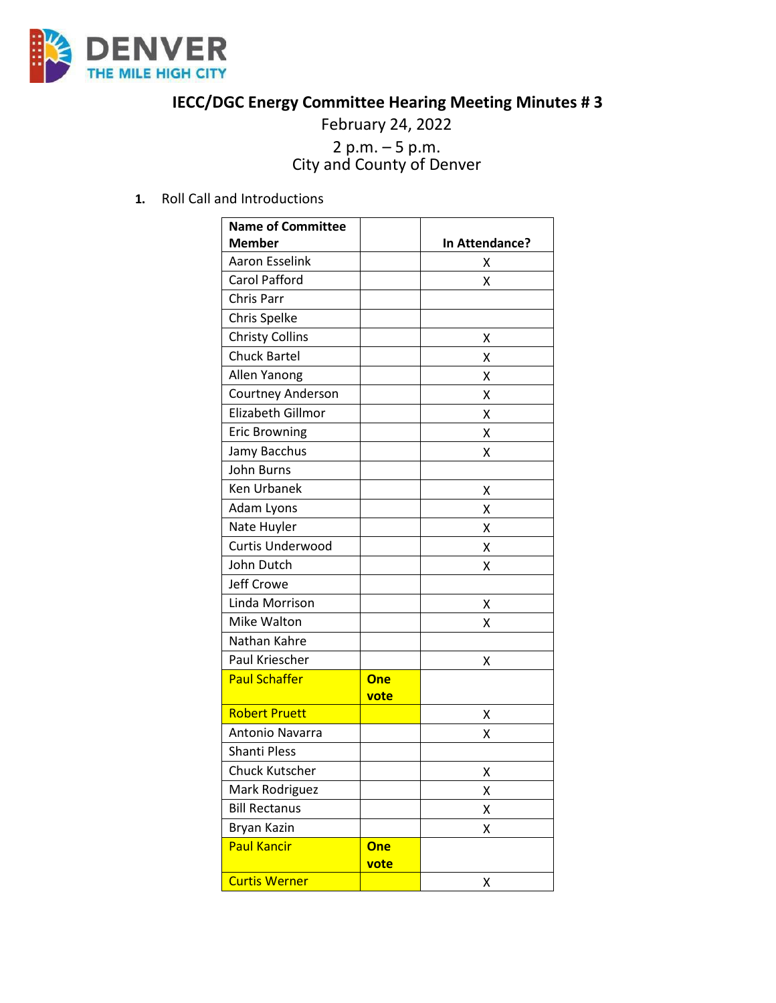

## **IECC/DGC Energy Committee Hearing Meeting Minutes # 3**

February 24, 2022

## <sup>2</sup> p.m. – <sup>5</sup> p.m. City and County of Denver

**1.** Roll Call and Introductions

| <b>Name of Committee</b> |            |                |
|--------------------------|------------|----------------|
| <b>Member</b>            |            | In Attendance? |
| <b>Aaron Esselink</b>    |            | x              |
| <b>Carol Pafford</b>     |            | X              |
| Chris Parr               |            |                |
| Chris Spelke             |            |                |
| <b>Christy Collins</b>   |            | x              |
| <b>Chuck Bartel</b>      |            | Χ              |
| Allen Yanong             |            | x              |
| Courtney Anderson        |            | Χ              |
| Elizabeth Gillmor        |            | Χ              |
| <b>Eric Browning</b>     |            | X              |
| Jamy Bacchus             |            | Χ              |
| <b>John Burns</b>        |            |                |
| <b>Ken Urbanek</b>       |            | x              |
| Adam Lyons               |            | Χ              |
| Nate Huyler              |            | x              |
| Curtis Underwood         |            | Χ              |
| John Dutch               |            | Χ              |
| <b>Jeff Crowe</b>        |            |                |
| Linda Morrison           |            | x              |
| Mike Walton              |            | x              |
| Nathan Kahre             |            |                |
| Paul Kriescher           |            | Χ              |
| <b>Paul Schaffer</b>     | <b>One</b> |                |
|                          | vote       |                |
| <b>Robert Pruett</b>     |            | х              |
| Antonio Navarra          |            | Χ              |
| <b>Shanti Pless</b>      |            |                |
| <b>Chuck Kutscher</b>    |            | Χ              |
| Mark Rodriguez           |            | Χ              |
| <b>Bill Rectanus</b>     |            | Χ              |
| Bryan Kazin              |            | Χ              |
| <b>Paul Kancir</b>       | <b>One</b> |                |
|                          | vote       |                |
| <b>Curtis Werner</b>     |            | Χ              |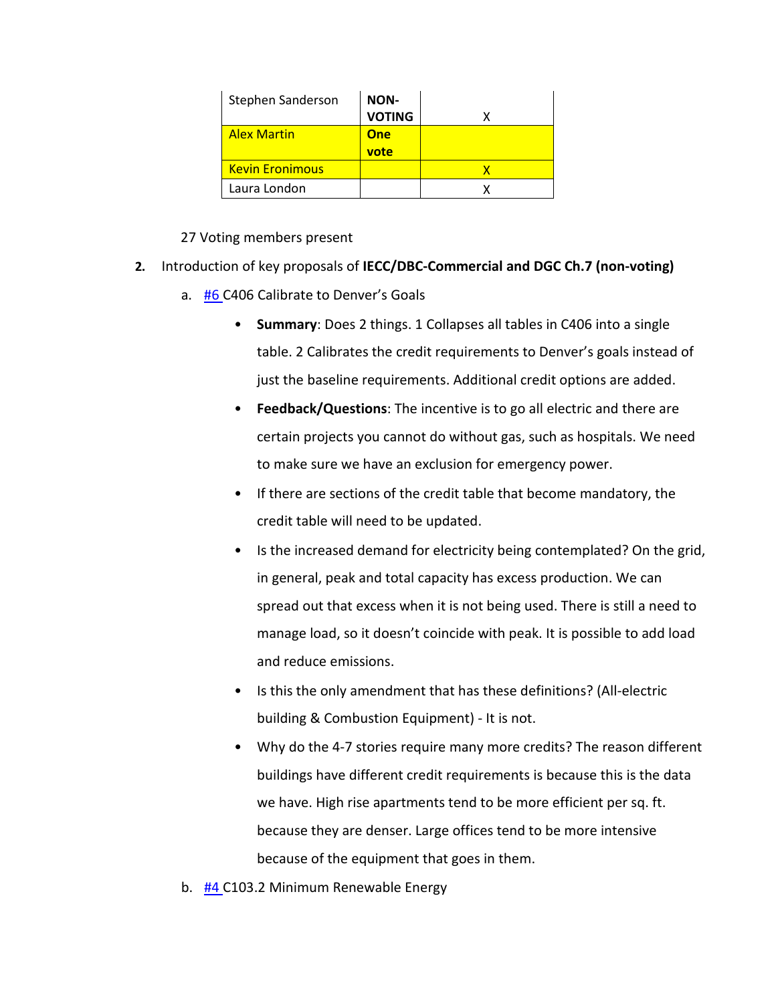| Stephen Sanderson      | NON-          |  |
|------------------------|---------------|--|
|                        | <b>VOTING</b> |  |
| <b>Alex Martin</b>     | One           |  |
|                        | vote          |  |
| <b>Kevin Eronimous</b> |               |  |
| Laura London           |               |  |

## 27 Voting members present

- **2.** Introduction of key proposals of **IECC/DBC-Commercial and DGC Ch.7 (non-voting)**
	- a. [#6 C](https://www.denvergov.org/files/assets/public/community-planning-and-development/documents/ds/building-codes/code-adoption/amendment-proposals/dgc/6-c406-calibrate-to-denvers-goals.pdf)406 Calibrate to Denver's Goals
		- **Summary**: Does 2 things. 1 Collapses all tables in C406 into a single table. 2 Calibrates the credit requirements to Denver's goals instead of just the baseline requirements. Additional credit options are added.
		- **Feedback/Questions**: The incentive is to go all electric and there are certain projects you cannot do without gas, such as hospitals. We need to make sure we have an exclusion for emergency power.
		- If there are sections of the credit table that become mandatory, the credit table will need to be updated.
		- Is the increased demand for electricity being contemplated? On the grid, in general, peak and total capacity has excess production. We can spread out that excess when it is not being used. There is still a need to manage load, so it doesn't coincide with peak. It is possible to add load and reduce emissions.
		- Is this the only amendment that has these definitions? (All-electric building & Combustion Equipment) - It is not.
		- Why do the 4-7 stories require many more credits? The reason different buildings have different credit requirements is because this is the data we have. High rise apartments tend to be more efficient per sq. ft. because they are denser. Large offices tend to be more intensive because of the equipment that goes in them.
	- b. [#4 C](https://www.denvergov.org/files/assets/public/community-planning-and-development/documents/ds/building-codes/code-adoption/amendment-proposals/iecc/4_c103.2_minimum-renewable-energy-commercial.pdf)103.2 Minimum Renewable Energy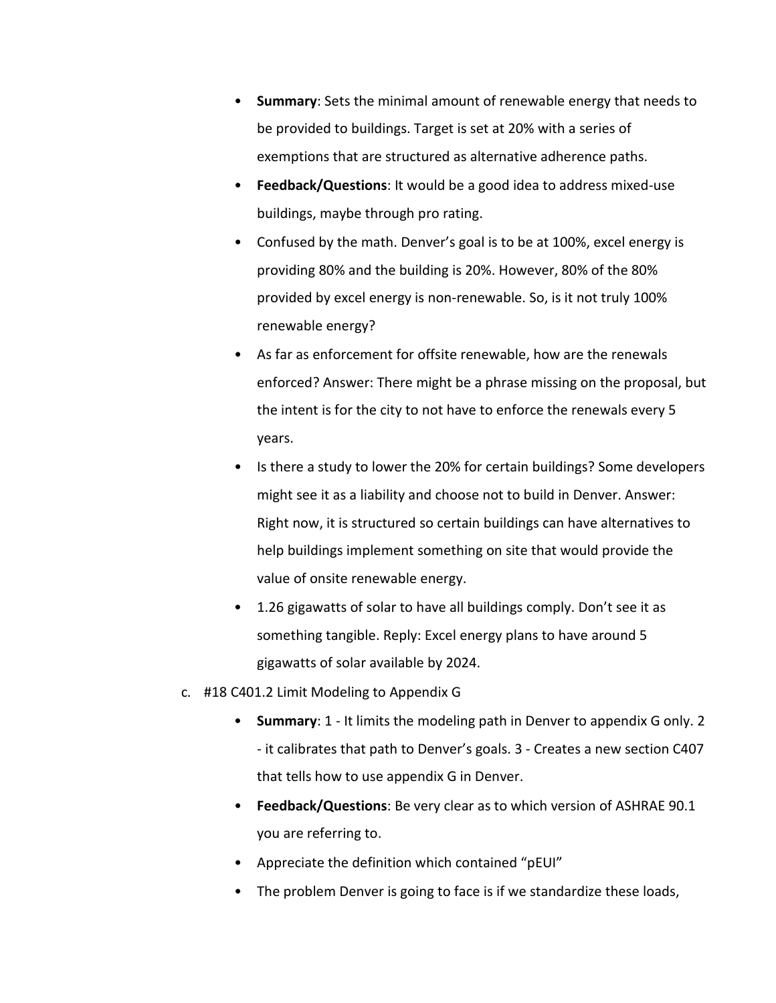- **Summary**: Sets the minimal amount of renewable energy that needs to be provided to buildings. Target is set at 20% with a series of exemptions that are structured as alternative adherence paths.
- **Feedback/Questions**: It would be a good idea to address mixed-use buildings, maybe through pro rating.
- Confused by the math. Denver's goal is to be at 100%, excel energy is providing 80% and the building is 20%. However, 80% of the 80% provided by excel energy is non-renewable. So, is it not truly 100% renewable energy?
- As far as enforcement for offsite renewable, how are the renewals enforced? Answer: There might be a phrase missing on the proposal, but the intent is for the city to not have to enforce the renewals every 5 years.
- Is there a study to lower the 20% for certain buildings? Some developers might see it as a liability and choose not to build in Denver. Answer: Right now, it is structured so certain buildings can have alternatives to help buildings implement something on site that would provide the value of onsite renewable energy.
- 1.26 gigawatts of solar to have all buildings comply. Don't see it as something tangible. Reply: Excel energy plans to have around 5 gigawatts of solar available by 2024.
- c. #18 C401.2 Limit Modeling to Appendix G
	- **Summary**: 1 It limits the modeling path in Denver to appendix G only. 2 - it calibrates that path to Denver's goals. 3 - Creates a new section C407 that tells how to use appendix G in Denver.
	- **Feedback/Questions**: Be very clear as to which version of ASHRAE 90.1 you are referring to.
	- Appreciate the definition which contained "pEUI"
	- The problem Denver is going to face is if we standardize these loads,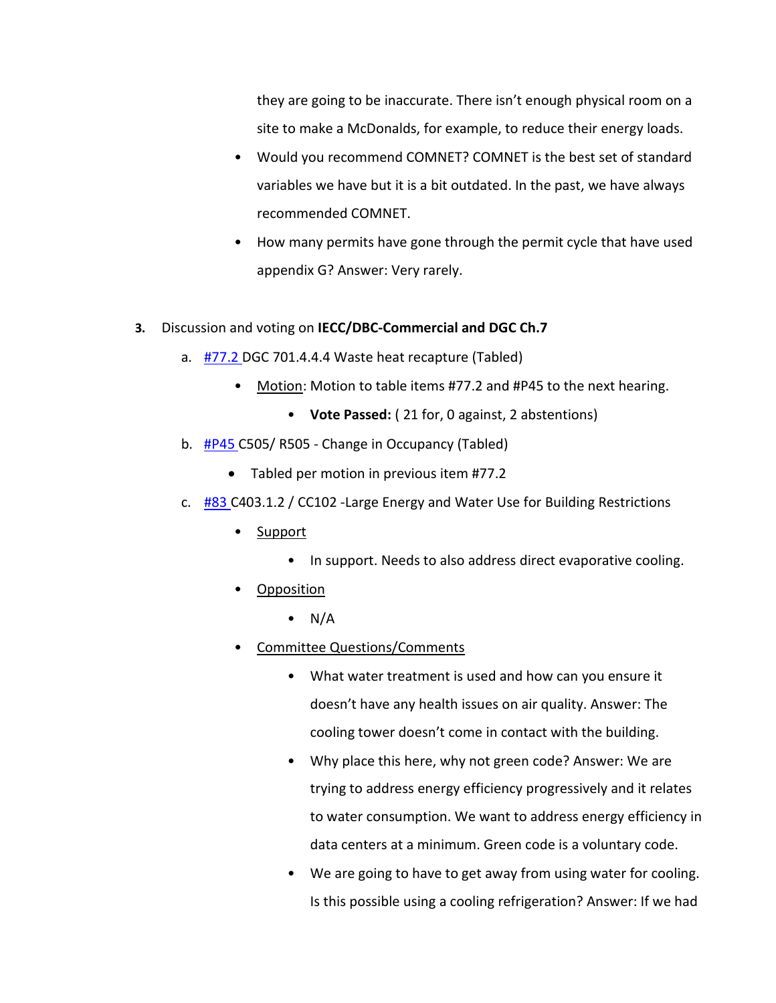they are going to be inaccurate. There isn't enough physical room on a site to make a McDonalds, for example, to reduce their energy loads.

- Would you recommend COMNET? COMNET is the best set of standard variables we have but it is a bit outdated. In the past, we have always recommended COMNET.
- How many permits have gone through the permit cycle that have used appendix G? Answer: Very rarely.

## **3.** Discussion and voting on **IECC/DBC-Commercial and DGC Ch.7**

- a. [#77.2 D](https://www.denvergov.org/files/assets/public/community-planning-and-development/documents/ds/building-codes/code-adoption/amendment-proposals/dgc/dgc_77.2.pdf)GC 701.4.4.4 Waste heat recapture (Tabled)
	- Motion: Motion to table items #77.2 and #P45 to the next hearing.
		- **Vote Passed:** ( 21 for, 0 against, 2 abstentions)
- b. [#P45 C](https://www.denvergov.org/files/assets/public/community-planning-and-development/documents/ds/building-codes/code-adoption/amendment-proposals/iecc/iecc_505_comres.pdf)505/ R505 Change in Occupancy (Tabled)
	- Tabled per motion in previous item #77.2
- c. [#83 C](https://www.denvergov.org/files/assets/public/community-planning-and-development/documents/ds/building-codes/code-adoption/amendment-proposals/iecc/iecc_cc102_com.pdf)403.1.2 / CC102 -Large Energy and Water Use for Building Restrictions
	- Support
		- In support. Needs to also address direct evaporative cooling.
	- **Opposition** 
		- $\bullet$  N/A
	- Committee Questions/Comments
		- What water treatment is used and how can you ensure it doesn't have any health issues on air quality. Answer: The cooling tower doesn't come in contact with the building.
		- Why place this here, why not green code? Answer: We are trying to address energy efficiency progressively and it relates to water consumption. We want to address energy efficiency in data centers at a minimum. Green code is a voluntary code.
		- We are going to have to get away from using water for cooling. Is this possible using a cooling refrigeration? Answer: If we had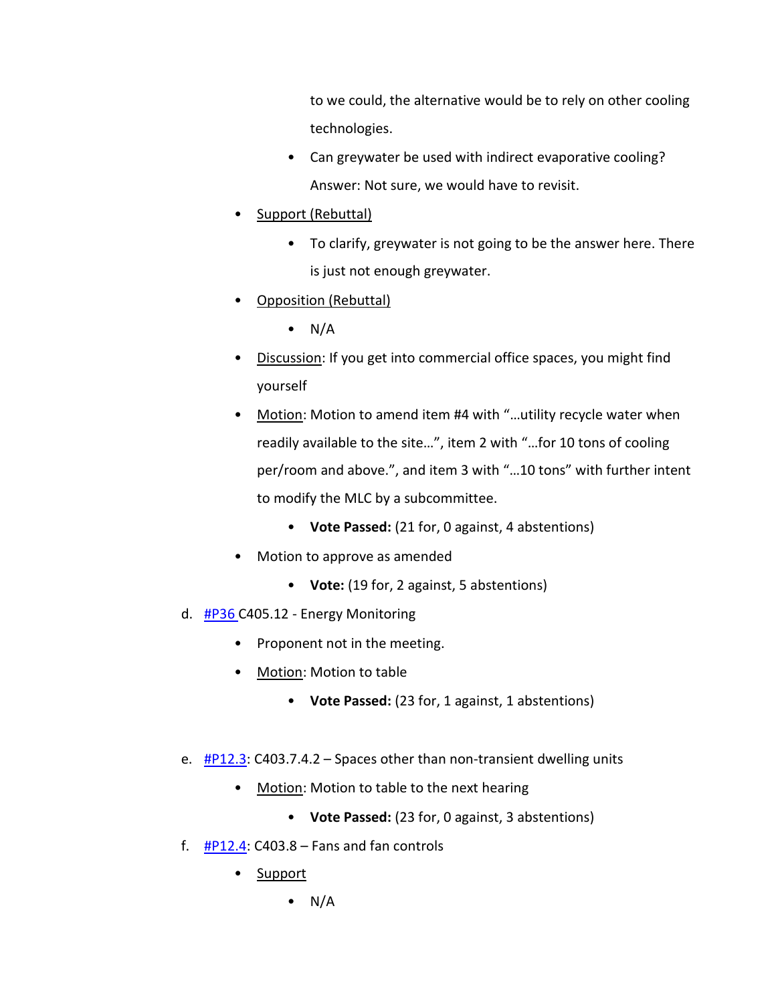to we could, the alternative would be to rely on other cooling technologies.

- Can greywater be used with indirect evaporative cooling? Answer: Not sure, we would have to revisit.
- Support (Rebuttal)
	- To clarify, greywater is not going to be the answer here. There is just not enough greywater.
- Opposition (Rebuttal)
	- $\bullet$  N/A
- Discussion: If you get into commercial office spaces, you might find yourself
- Motion: Motion to amend item #4 with "...utility recycle water when readily available to the site…", item 2 with "…for 10 tons of cooling per/room and above.", and item 3 with "…10 tons" with further intent to modify the MLC by a subcommittee.
	- **Vote Passed:** (21 for, 0 against, 4 abstentions)
- Motion to approve as amended
	- **Vote:** (19 for, 2 against, 5 abstentions)
- d. [#P36 C](https://www.denvergov.org/files/assets/public/community-planning-and-development/documents/ds/building-codes/code-adoption/amendment-proposals/iecc/iecc_c405.12.pdf)405.12 Energy Monitoring
	- Proponent not in the meeting.
	- Motion: Motion to table
		- **Vote Passed:** (23 for, 1 against, 1 abstentions)
- e.  $\#P12.3$ : C403.7.4.2 Spaces other than non-transient dwelling units
	- Motion: Motion to table to the next hearing
		- **Vote Passed:** (23 for, 0 against, 3 abstentions)
- f.  $\#P12.4$ : C403.8 Fans and fan controls
	- Support
		- $\bullet$  N/A